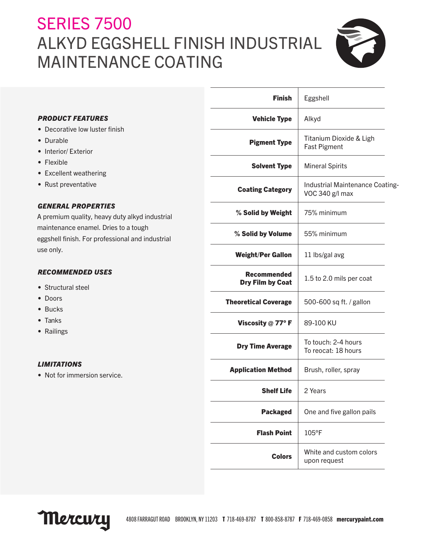# **SERIES 7500** ALKYD EGGSHELL FINISH INDUSTRIAL MAINTENANCE COATING



|                                                  | <b>Finish</b>               | Eggshell                                           |
|--------------------------------------------------|-----------------------------|----------------------------------------------------|
| <b>PRODUCT FEATURES</b>                          | <b>Vehicle Type</b>         | Alkyd                                              |
| • Decorative low luster finish                   |                             |                                                    |
| • Durable                                        | <b>Pigment Type</b>         | Titanium Dioxide & Ligh                            |
| • Interior/ Exterior                             |                             | <b>Fast Pigment</b>                                |
| • Flexible                                       | <b>Solvent Type</b>         | <b>Mineral Spirits</b>                             |
| • Excellent weathering                           |                             |                                                    |
| • Rust preventative                              | <b>Coating Category</b>     | Industrial Maintenance Coating-<br>VOC 340 g/l max |
| <b>GENERAL PROPERTIES</b>                        | % Solid by Weight           | 75% minimum                                        |
| A premium quality, heavy duty alkyd industrial   |                             |                                                    |
| maintenance enamel. Dries to a tough             | % Solid by Volume           | 55% minimum                                        |
| eggshell finish. For professional and industrial |                             |                                                    |
| use only.                                        | <b>Weight/Per Gallon</b>    | 11 lbs/gal avg                                     |
| <b>RECOMMENDED USES</b>                          | <b>Recommended</b>          | 1.5 to 2.0 mils per coat                           |
| • Structural steel                               | <b>Dry Film by Coat</b>     |                                                    |
| • Doors                                          | <b>Theoretical Coverage</b> | 500-600 sq ft. / gallon                            |
| $\bullet$ Bucks                                  |                             |                                                    |
| • Tanks                                          | Viscosity @ 77°F            | 89-100 KU                                          |
| • Railings                                       |                             |                                                    |
|                                                  | <b>Dry Time Average</b>     | To touch: 2-4 hours<br>To reocat: 18 hours         |
| <b>LIMITATIONS</b>                               | <b>Application Method</b>   | Brush, roller, spray                               |
| • Not for immersion service.                     |                             |                                                    |
|                                                  | <b>Shelf Life</b>           | 2 Years                                            |
|                                                  | <b>Packaged</b>             | One and five gallon pails                          |
|                                                  | <b>Flash Point</b>          | 105°F                                              |
|                                                  | <b>Colors</b>               | White and custom colors<br>upon request            |